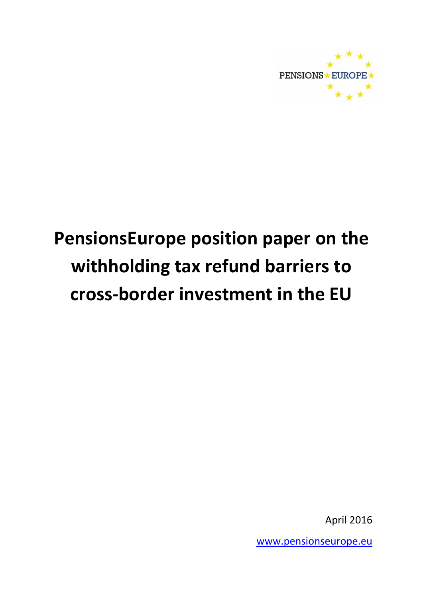

# **PensionsEurope position paper on the withholding tax refund barriers to cross-border investment in the EU**

April 2016

[www.pensionseurope.eu](http://www.pensionseurope.eu/)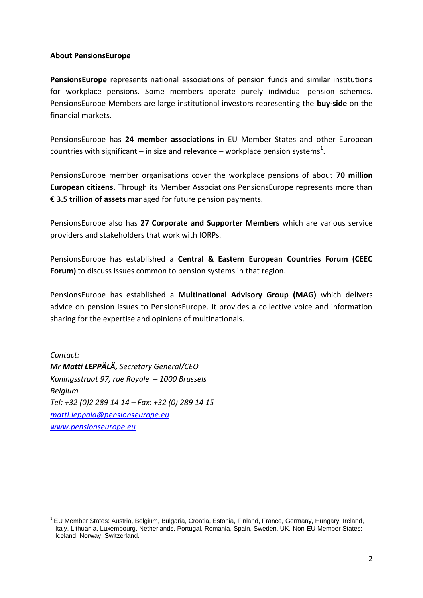#### **About PensionsEurope**

**PensionsEurope** represents national associations of pension funds and similar institutions for workplace pensions. Some members operate purely individual pension schemes. PensionsEurope Members are large institutional investors representing the **buy-side** on the financial markets.

PensionsEurope has **24 member associations** in EU Member States and other European countries with significant – in size and relevance – workplace pension systems<sup>1</sup>.

PensionsEurope member organisations cover the workplace pensions of about **70 million European citizens.** Through its Member Associations PensionsEurope represents more than **€ 3.5 trillion of assets** managed for future pension payments.

PensionsEurope also has **27 Corporate and Supporter Members** which are various service providers and stakeholders that work with IORPs.

PensionsEurope has established a **Central & Eastern European Countries Forum (CEEC Forum)** to discuss issues common to pension systems in that region.

PensionsEurope has established a **Multinational Advisory Group (MAG)** which delivers advice on pension issues to PensionsEurope. It provides a collective voice and information sharing for the expertise and opinions of multinationals.

*Contact: Mr Matti LEPPÄLÄ, Secretary General/CEO Koningsstraat 97, rue Royale – 1000 Brussels Belgium Tel: +32 (0)2 289 14 14 – Fax: +32 (0) 289 14 15 [matti.leppala@pensionseurope.eu](mailto:matti.leppala@pensionseurope.eu) [www.pensionseurope.eu](http://www.pensionseurope.eu/)*

<sup>1</sup> <sup>1</sup> EU Member States: Austria, Belgium, Bulgaria, Croatia, Estonia, Finland, France, Germany, Hungary, Ireland, Italy, Lithuania, Luxembourg, Netherlands, Portugal, Romania, Spain, Sweden, UK. Non-EU Member States: Iceland, Norway, Switzerland.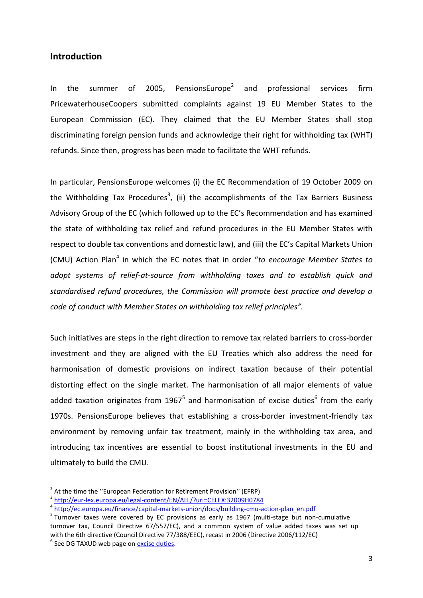#### **Introduction**

In the summer of 2005, PensionsEurope<sup>2</sup> and professional services firm PricewaterhouseCoopers submitted complaints against 19 EU Member States to the European Commission (EC). They claimed that the EU Member States shall stop discriminating foreign pension funds and acknowledge their right for withholding tax (WHT) refunds. Since then, progress has been made to facilitate the WHT refunds.

In particular, PensionsEurope welcomes (i) the EC Recommendation of 19 October 2009 on the Withholding Tax Procedures<sup>3</sup>, (ii) the accomplishments of the Tax Barriers Business Advisory Group of the EC (which followed up to the EC's Recommendation and has examined the state of withholding tax relief and refund procedures in the EU Member States with respect to double tax conventions and domestic law), and (iii) the EC's Capital Markets Union (CMU) Action Plan<sup>4</sup> in which the EC notes that in order "to encourage Member States to *adopt systems of relief-at-source from withholding taxes and to establish quick and standardised refund procedures, the Commission will promote best practice and develop a code of conduct with Member States on withholding tax relief principles".*

Such initiatives are steps in the right direction to remove tax related barriers to cross-border investment and they are aligned with the EU Treaties which also address the need for harmonisation of domestic provisions on indirect taxation because of their potential distorting effect on the single market. The harmonisation of all major elements of value added taxation originates from 1967<sup>5</sup> and harmonisation of excise duties<sup>6</sup> from the early 1970s. PensionsEurope believes that establishing a cross-border investment-friendly tax environment by removing unfair tax treatment, mainly in the withholding tax area, and introducing tax incentives are essential to boost institutional investments in the EU and ultimately to build the CMU.

1

 $2$  At the time the "European Federation for Retirement Provision" (EFRP)

<sup>3</sup> <http://eur-lex.europa.eu/legal-content/EN/ALL/?uri=CELEX:32009H0784>

<sup>&</sup>lt;sup>4</sup> [http://ec.europa.eu/finance/capital-markets-union/docs/building-cmu-action-plan\\_en.pdf](http://ec.europa.eu/finance/capital-markets-union/docs/building-cmu-action-plan_en.pdf)

<sup>&</sup>lt;sup>5</sup> Turnover taxes were covered by EC provisions as early as 1967 (multi-stage but non-cumulative turnover tax, Council Directive 67/557/EC), and a common system of value added taxes was set up with the 6th directive (Council Directive 77/388/EEC), recast in 2006 (Directive 2006/112/EC) <sup>6</sup> See DG TAXUD web page on **excise duties**.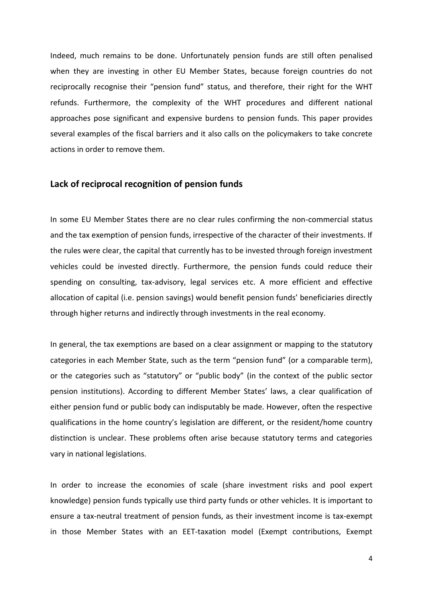Indeed, much remains to be done. Unfortunately pension funds are still often penalised when they are investing in other EU Member States, because foreign countries do not reciprocally recognise their "pension fund" status, and therefore, their right for the WHT refunds. Furthermore, the complexity of the WHT procedures and different national approaches pose significant and expensive burdens to pension funds. This paper provides several examples of the fiscal barriers and it also calls on the policymakers to take concrete actions in order to remove them.

#### **Lack of reciprocal recognition of pension funds**

In some EU Member States there are no clear rules confirming the non-commercial status and the tax exemption of pension funds, irrespective of the character of their investments. If the rules were clear, the capital that currently has to be invested through foreign investment vehicles could be invested directly. Furthermore, the pension funds could reduce their spending on consulting, tax-advisory, legal services etc. A more efficient and effective allocation of capital (i.e. pension savings) would benefit pension funds' beneficiaries directly through higher returns and indirectly through investments in the real economy.

In general, the tax exemptions are based on a clear assignment or mapping to the statutory categories in each Member State, such as the term "pension fund" (or a comparable term), or the categories such as "statutory" or "public body" (in the context of the public sector pension institutions). According to different Member States' laws, a clear qualification of either pension fund or public body can indisputably be made. However, often the respective qualifications in the home country's legislation are different, or the resident/home country distinction is unclear. These problems often arise because statutory terms and categories vary in national legislations.

In order to increase the economies of scale (share investment risks and pool expert knowledge) pension funds typically use third party funds or other vehicles. It is important to ensure a tax-neutral treatment of pension funds, as their investment income is tax-exempt in those Member States with an EET-taxation model (Exempt contributions, Exempt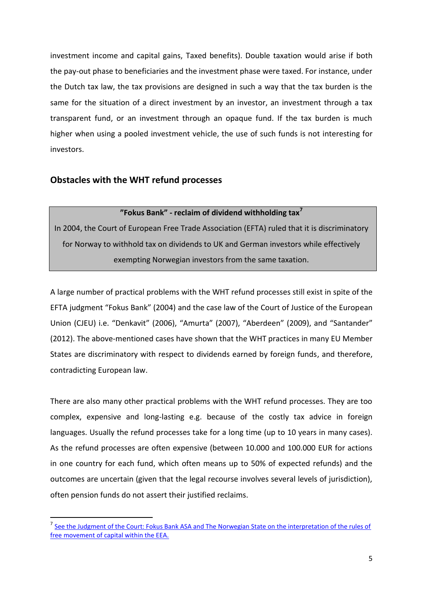investment income and capital gains, Taxed benefits). Double taxation would arise if both the pay-out phase to beneficiaries and the investment phase were taxed. For instance, under the Dutch tax law, the tax provisions are designed in such a way that the tax burden is the same for the situation of a direct investment by an investor, an investment through a tax transparent fund, or an investment through an opaque fund. If the tax burden is much higher when using a pooled investment vehicle, the use of such funds is not interesting for investors.

### **Obstacles with the WHT refund processes**

1

#### **"Fokus Bank" - reclaim of dividend withholding tax<sup>7</sup>**

In 2004, the Court of European Free Trade Association (EFTA) ruled that it is discriminatory for Norway to withhold tax on dividends to UK and German investors while effectively exempting Norwegian investors from the same taxation.

A large number of practical problems with the WHT refund processes still exist in spite of the EFTA judgment "Fokus Bank" (2004) and the case law of the Court of Justice of the European Union (CJEU) i.e. "Denkavit" (2006), "Amurta" (2007), "Aberdeen" (2009), and "Santander" (2012). The above-mentioned cases have shown that the WHT practices in many EU Member States are discriminatory with respect to dividends earned by foreign funds, and therefore, contradicting European law.

There are also many other practical problems with the WHT refund processes. They are too complex, expensive and long-lasting e.g. because of the costly tax advice in foreign languages. Usually the refund processes take for a long time (up to 10 years in many cases). As the refund processes are often expensive (between 10.000 and 100.000 EUR for actions in one country for each fund, which often means up to 50% of expected refunds) and the outcomes are uncertain (given that the legal recourse involves several levels of jurisdiction), often pension funds do not assert their justified reclaims.

<sup>&</sup>lt;sup>7</sup> See the Judgment of the Court: Fokus Bank ASA and The Norwegian State on the interpretation of the rules of [free movement of capital within the EEA.](http://www.eftacourt.int/uploads/tx_nvcases/1_04_Judgment_EN.pdf)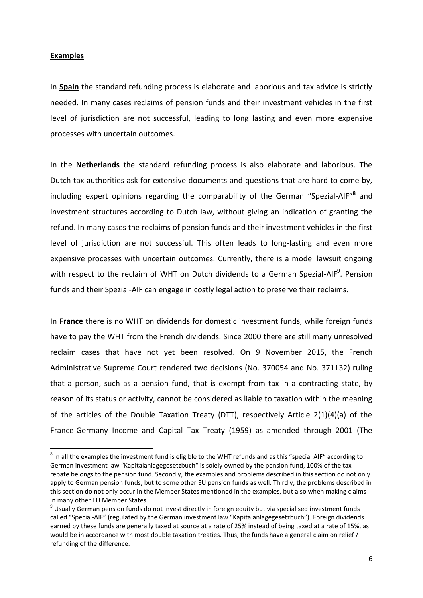#### **Examples**

1

In **Spain** the standard refunding process is elaborate and laborious and tax advice is strictly needed. In many cases reclaims of pension funds and their investment vehicles in the first level of jurisdiction are not successful, leading to long lasting and even more expensive processes with uncertain outcomes.

In the **Netherlands** the standard refunding process is also elaborate and laborious. The Dutch tax authorities ask for extensive documents and questions that are hard to come by, including expert opinions regarding the comparability of the German "Spezial-AIF"**<sup>8</sup>** and investment structures according to Dutch law, without giving an indication of granting the refund. In many cases the reclaims of pension funds and their investment vehicles in the first level of jurisdiction are not successful. This often leads to long-lasting and even more expensive processes with uncertain outcomes. Currently, there is a model lawsuit ongoing with respect to the reclaim of WHT on Dutch dividends to a German Spezial-AIF<sup>9</sup>. Pension funds and their Spezial-AIF can engage in costly legal action to preserve their reclaims.

In **France** there is no WHT on dividends for domestic investment funds, while foreign funds have to pay the WHT from the French dividends. Since 2000 there are still many unresolved reclaim cases that have not yet been resolved. On 9 November 2015, the French Administrative Supreme Court rendered two decisions (No. 370054 and No. 371132) ruling that a person, such as a pension fund, that is exempt from tax in a contracting state, by reason of its status or activity, cannot be considered as liable to taxation within the meaning of the articles of the Double Taxation Treaty (DTT), respectively Article 2(1)(4)(a) of the France-Germany Income and Capital Tax Treaty (1959) as amended through 2001 (The

 $^8$  In all the examples the investment fund is eligible to the WHT refunds and as this "special AIF" according to German investment law "Kapitalanlagegesetzbuch" is solely owned by the pension fund, 100% of the tax rebate belongs to the pension fund. Secondly, the examples and problems described in this section do not only apply to German pension funds, but to some other EU pension funds as well. Thirdly, the problems described in this section do not only occur in the Member States mentioned in the examples, but also when making claims in many other EU Member States.

<sup>&</sup>lt;sup>9</sup> Usually German pension funds do not invest directly in foreign equity but via specialised investment funds called "Special-AIF" (regulated by the German investment law "Kapitalanlagegesetzbuch"). Foreign dividends earned by these funds are generally taxed at source at a rate of 25% instead of being taxed at a rate of 15%, as would be in accordance with most double taxation treaties. Thus, the funds have a general claim on relief / refunding of the difference.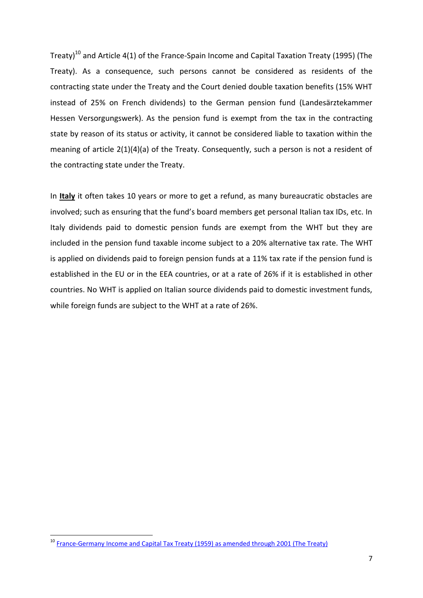Treaty)<sup>10</sup> and Article 4(1) of the France-Spain Income and Capital Taxation Treaty (1995) (The Treaty). As a consequence, such persons cannot be considered as residents of the contracting state under the Treaty and the Court denied double taxation benefits (15% WHT instead of 25% on French dividends) to the German pension fund (Landesärztekammer Hessen Versorgungswerk). As the pension fund is exempt from the tax in the contracting state by reason of its status or activity, it cannot be considered liable to taxation within the meaning of article 2(1)(4)(a) of the Treaty. Consequently, such a person is not a resident of the contracting state under the Treaty.

In **Italy** it often takes 10 years or more to get a refund, as many bureaucratic obstacles are involved; such as ensuring that the fund's board members get personal Italian tax IDs, etc. In Italy dividends paid to domestic pension funds are exempt from the WHT but they are included in the pension fund taxable income subject to a 20% alternative tax rate. The WHT is applied on dividends paid to foreign pension funds at a 11% tax rate if the pension fund is established in the EU or in the EEA countries, or at a rate of 26% if it is established in other countries. No WHT is applied on Italian source dividends paid to domestic investment funds, while foreign funds are subject to the WHT at a rate of 26%.

**.** 

<sup>&</sup>lt;sup>10</sup> [France-Germany Income and Capital Tax Treaty \(1959\) as amended through 2001 \(The Treaty\)](http://www.impots.gouv.fr/portal/dgi/public/documentation.impot;jsessionid=FTQPXOYIX5T3HQFIEIQCFEY?pageId=docu_international&espId=-1&sfid=440&choix=DEU)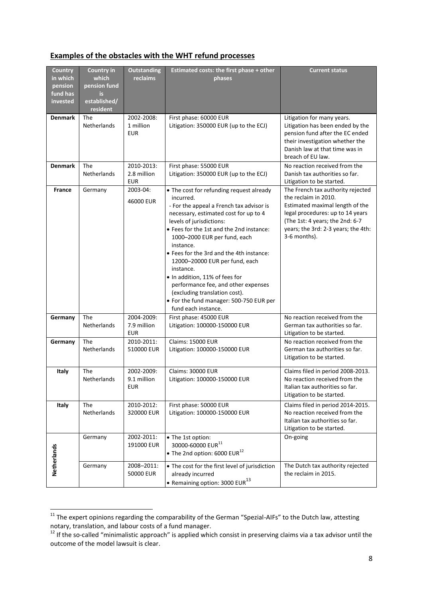# **Examples of the obstacles with the WHT refund processes**

| <b>Country</b><br>in which<br>pension<br>fund has<br>invested | <b>Country in</b><br>which<br>pension fund<br>is<br>established/<br>resident | <b>Outstanding</b><br>reclaims          | <b>Estimated costs: the first phase + other</b><br>phases                                                                                                                                                                                                                                                                                                                                                                                                                                                                              | <b>Current status</b>                                                                                                                                                                                                      |
|---------------------------------------------------------------|------------------------------------------------------------------------------|-----------------------------------------|----------------------------------------------------------------------------------------------------------------------------------------------------------------------------------------------------------------------------------------------------------------------------------------------------------------------------------------------------------------------------------------------------------------------------------------------------------------------------------------------------------------------------------------|----------------------------------------------------------------------------------------------------------------------------------------------------------------------------------------------------------------------------|
| <b>Denmark</b>                                                | <b>The</b><br>Netherlands                                                    | 2002-2008:<br>1 million<br><b>EUR</b>   | First phase: 60000 EUR<br>Litigation: 350000 EUR (up to the ECJ)                                                                                                                                                                                                                                                                                                                                                                                                                                                                       | Litigation for many years.<br>Litigation has been ended by the<br>pension fund after the EC ended<br>their investigation whether the<br>Danish law at that time was in<br>breach of EU law.                                |
| <b>Denmark</b>                                                | The<br>Netherlands                                                           | 2010-2013:<br>2.8 million<br><b>EUR</b> | First phase: 55000 EUR<br>Litigation: 350000 EUR (up to the ECJ)                                                                                                                                                                                                                                                                                                                                                                                                                                                                       | No reaction received from the<br>Danish tax authorities so far.<br>Litigation to be started.                                                                                                                               |
| France                                                        | Germany                                                                      | 2003-04:<br>46000 EUR                   | • The cost for refunding request already<br>incurred.<br>- For the appeal a French tax advisor is<br>necessary, estimated cost for up to 4<br>levels of jurisdictions:<br>• Fees for the 1st and the 2nd instance:<br>1000-2000 EUR per fund, each<br>instance.<br>• Fees for the 3rd and the 4th instance:<br>12000-20000 EUR per fund, each<br>instance.<br>. In addition, 11% of fees for<br>performance fee, and other expenses<br>(excluding translation cost).<br>• For the fund manager: 500-750 EUR per<br>fund each instance. | The French tax authority rejected<br>the reclaim in 2010.<br>Estimated maximal length of the<br>legal procedures: up to 14 years<br>(The 1st: 4 years; the 2nd: 6-7<br>years; the 3rd: 2-3 years; the 4th:<br>3-6 months). |
| Germany                                                       | <b>The</b><br>Netherlands                                                    | 2004-2009:<br>7.9 million<br><b>EUR</b> | First phase: 45000 EUR<br>Litigation: 100000-150000 EUR                                                                                                                                                                                                                                                                                                                                                                                                                                                                                | No reaction received from the<br>German tax authorities so far.<br>Litigation to be started.                                                                                                                               |
| Germany                                                       | <b>The</b><br>Netherlands                                                    | 2010-2011:<br>510000 EUR                | <b>Claims: 15000 EUR</b><br>Litigation: 100000-150000 EUR                                                                                                                                                                                                                                                                                                                                                                                                                                                                              | No reaction received from the<br>German tax authorities so far.<br>Litigation to be started.                                                                                                                               |
| <b>Italy</b>                                                  | The<br>Netherlands                                                           | 2002-2009:<br>9.1 million<br><b>EUR</b> | Claims: 30000 EUR<br>Litigation: 100000-150000 EUR                                                                                                                                                                                                                                                                                                                                                                                                                                                                                     | Claims filed in period 2008-2013.<br>No reaction received from the<br>Italian tax authorities so far.<br>Litigation to be started.                                                                                         |
| Italy                                                         | The<br>Netherlands                                                           | 2010-2012:<br>320000 EUR                | First phase: 50000 EUR<br>Litigation: 100000-150000 EUR                                                                                                                                                                                                                                                                                                                                                                                                                                                                                | Claims filed in period 2014-2015.<br>No reaction received from the<br>Italian tax authorities so far.<br>Litigation to be started.                                                                                         |
| Netherlands                                                   | Germany                                                                      | 2002-2011:<br>191000 EUR                | • The 1st option:<br>30000-60000 EUR <sup>11</sup><br>• The 2nd option: 6000 EUR $^{12}$                                                                                                                                                                                                                                                                                                                                                                                                                                               | On-going                                                                                                                                                                                                                   |
|                                                               | Germany                                                                      | 2008-2011:<br>50000 EUR                 | • The cost for the first level of jurisdiction<br>already incurred<br>• Remaining option: 3000 EUR $^{13}$                                                                                                                                                                                                                                                                                                                                                                                                                             | The Dutch tax authority rejected<br>the reclaim in 2015.                                                                                                                                                                   |

 $^{11}$  The expert opinions regarding the comparability of the German "Spezial-AIFs" to the Dutch law, attesting notary, translation, and labour costs of a fund manager.

1

 $12$  If the so-called "minimalistic approach" is applied which consist in preserving claims via a tax advisor until the outcome of the model lawsuit is clear.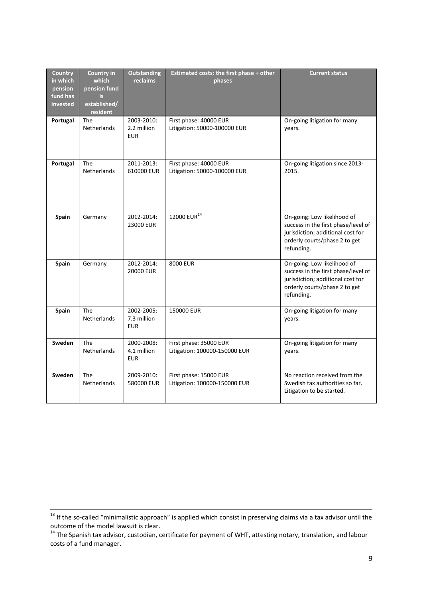| <b>Country</b><br>in which<br>pension<br>fund has<br>invested | <b>Country in</b><br>which<br>pension fund<br>is<br>established/<br>resident | <b>Outstanding</b><br>reclaims          | <b>Estimated costs: the first phase + other</b><br>phases | <b>Current status</b>                                                                                                                                  |
|---------------------------------------------------------------|------------------------------------------------------------------------------|-----------------------------------------|-----------------------------------------------------------|--------------------------------------------------------------------------------------------------------------------------------------------------------|
| Portugal                                                      | <b>The</b><br><b>Netherlands</b>                                             | 2003-2010:<br>2.2 million<br><b>EUR</b> | First phase: 40000 EUR<br>Litigation: 50000-100000 EUR    | On-going litigation for many<br>years.                                                                                                                 |
| Portugal                                                      | <b>The</b><br>Netherlands                                                    | 2011-2013:<br>610000 EUR                | First phase: 40000 EUR<br>Litigation: 50000-100000 EUR    | On-going litigation since 2013-<br>2015.                                                                                                               |
| Spain                                                         | Germany                                                                      | 2012-2014:<br>23000 EUR                 | 12000 EUR <sup>14</sup>                                   | On-going: Low likelihood of<br>success in the first phase/level of<br>jurisdiction; additional cost for<br>orderly courts/phase 2 to get<br>refunding. |
| Spain                                                         | Germany                                                                      | 2012-2014:<br>20000 EUR                 | 8000 EUR                                                  | On-going: Low likelihood of<br>success in the first phase/level of<br>jurisdiction; additional cost for<br>orderly courts/phase 2 to get<br>refunding. |
| Spain                                                         | <b>The</b><br>Netherlands                                                    | 2002-2005:<br>7.3 million<br><b>EUR</b> | 150000 EUR                                                | On-going litigation for many<br>years.                                                                                                                 |
| Sweden                                                        | <b>The</b><br>Netherlands                                                    | 2000-2008:<br>4.1 million<br><b>EUR</b> | First phase: 35000 EUR<br>Litigation: 100000-150000 EUR   | On-going litigation for many<br>years.                                                                                                                 |
| <b>Sweden</b>                                                 | <b>The</b><br><b>Netherlands</b>                                             | 2009-2010:<br>580000 EUR                | First phase: 15000 EUR<br>Litigation: 100000-150000 EUR   | No reaction received from the<br>Swedish tax authorities so far.<br>Litigation to be started.                                                          |

 $\ddot{\phantom{a}}$ 

 $13$  If the so-called "minimalistic approach" is applied which consist in preserving claims via a tax advisor until the outcome of the model lawsuit is clear.

<sup>&</sup>lt;sup>14</sup> The Spanish tax advisor, custodian, certificate for payment of WHT, attesting notary, translation, and labour costs of a fund manager.